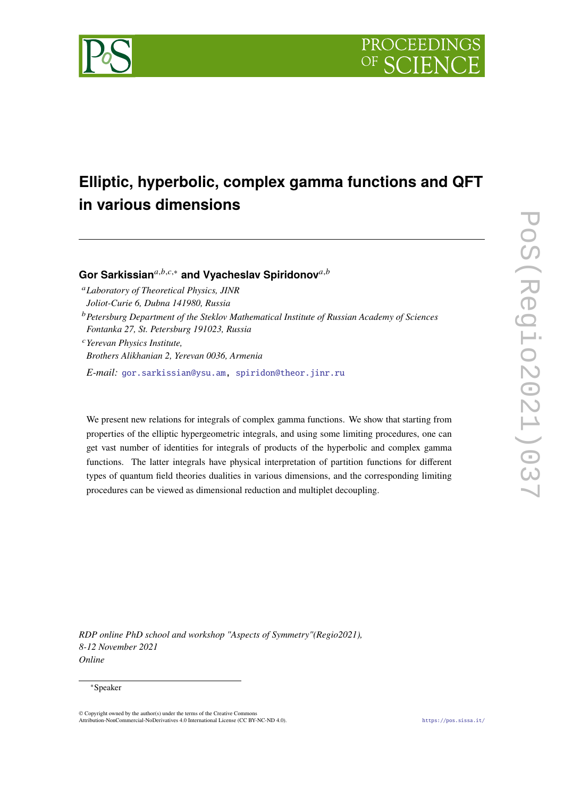



# **Elliptic, hyperbolic, complex gamma functions and QFT in various dimensions**

Gor Sarkissian<sup>a,b,c,∗</sup> and Vyacheslav Spiridonov<sup>a,b</sup>

*Laboratory of Theoretical Physics, JINR Joliot-Curie 6, Dubna 141980, Russia*

*Petersburg Department of the Steklov Mathematical Institute of Russian Academy of Sciences Fontanka 27, St. Petersburg 191023, Russia*

*Yerevan Physics Institute, Brothers Alikhanian 2, Yerevan 0036, Armenia*

*E-mail:* [gor.sarkissian@ysu.am,](mailto:gor.sarkissian@ysu.am) [spiridon@theor.jinr.ru](mailto:spiridon@theor.jinr.ru)

We present new relations for integrals of complex gamma functions. We show that starting from properties of the elliptic hypergeometric integrals, and using some limiting procedures, one can get vast number of identities for integrals of products of the hyperbolic and complex gamma functions. The latter integrals have physical interpretation of partition functions for different types of quantum field theories dualities in various dimensions, and the corresponding limiting procedures can be viewed as dimensional reduction and multiplet decoupling.

*RDP online PhD school and workshop "Aspects of Symmetry"(Regio2021), 8-12 November 2021 Online*

#### <sup>∗</sup>Speaker

 $\odot$  Copyright owned by the author(s) under the terms of the Creative Common Attribution-NonCommercial-NoDerivatives 4.0 International License (CC BY-NC-ND 4.0). <https://pos.sissa.it/>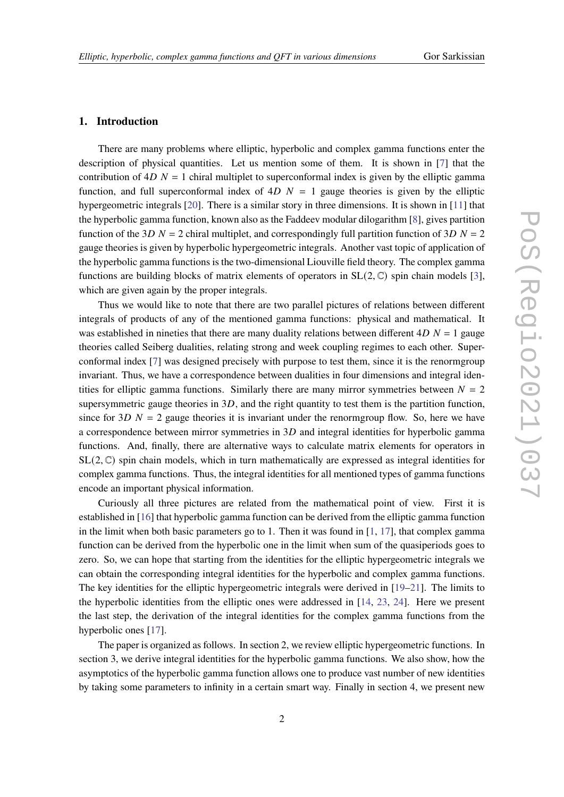## **1. Introduction**

There are many problems where elliptic, hyperbolic and complex gamma functions enter the description of physical quantities. Let us mention some of them. It is shown in [\[7\]](#page-8-0) that the contribution of  $4D<sub>N</sub> = 1$  chiral multiplet to superconformal index is given by the elliptic gamma function, and full superconformal index of  $4D$   $N = 1$  gauge theories is given by the elliptic hypergeometric integrals [\[20\]](#page-9-0). There is a similar story in three dimensions. It is shown in [\[11\]](#page-9-1) that the hyperbolic gamma function, known also as the Faddeev modular dilogarithm [\[8\]](#page-8-1), gives partition function of the 3D  $N = 2$  chiral multiplet, and correspondingly full partition function of 3D  $N = 2$ gauge theories is given by hyperbolic hypergeometric integrals. Another vast topic of application of the hyperbolic gamma functions is the two-dimensional Liouville field theory. The complex gamma functions are building blocks of matrix elements of operators in  $SL(2, \mathbb{C})$  spin chain models [\[3\]](#page-8-2), which are given again by the proper integrals.

Thus we would like to note that there are two parallel pictures of relations between different integrals of products of any of the mentioned gamma functions: physical and mathematical. It was established in nineties that there are many duality relations between different  $4D N = 1$  gauge theories called Seiberg dualities, relating strong and week coupling regimes to each other. Superconformal index [\[7\]](#page-8-0) was designed precisely with purpose to test them, since it is the renormgroup invariant. Thus, we have a correspondence between dualities in four dimensions and integral identities for elliptic gamma functions. Similarly there are many mirror symmetries between  $N = 2$ supersymmetric gauge theories in  $3D$ , and the right quantity to test them is the partition function, since for  $3D N = 2$  gauge theories it is invariant under the renormgroup flow. So, here we have a correspondence between mirror symmetries in  $3D$  and integral identities for hyperbolic gamma functions. And, finally, there are alternative ways to calculate matrix elements for operators in  $SL(2, \mathbb{C})$  spin chain models, which in turn mathematically are expressed as integral identities for complex gamma functions. Thus, the integral identities for all mentioned types of gamma functions encode an important physical information.

Curiously all three pictures are related from the mathematical point of view. First it is established in [\[16\]](#page-9-2) that hyperbolic gamma function can be derived from the elliptic gamma function in the limit when both basic parameters go to 1. Then it was found in  $[1, 17]$  $[1, 17]$  $[1, 17]$ , that complex gamma function can be derived from the hyperbolic one in the limit when sum of the quasiperiods goes to zero. So, we can hope that starting from the identities for the elliptic hypergeometric integrals we can obtain the corresponding integral identities for the hyperbolic and complex gamma functions. The key identities for the elliptic hypergeometric integrals were derived in [\[19–](#page-9-4)[21\]](#page-9-5). The limits to the hyperbolic identities from the elliptic ones were addressed in [\[14,](#page-9-6) [23,](#page-9-7) [24\]](#page-9-8). Here we present the last step, the derivation of the integral identities for the complex gamma functions from the hyperbolic ones [\[17\]](#page-9-3).

The paper is organized as follows. In section 2, we review elliptic hypergeometric functions. In section 3, we derive integral identities for the hyperbolic gamma functions. We also show, how the asymptotics of the hyperbolic gamma function allows one to produce vast number of new identities by taking some parameters to infinity in a certain smart way. Finally in section 4, we present new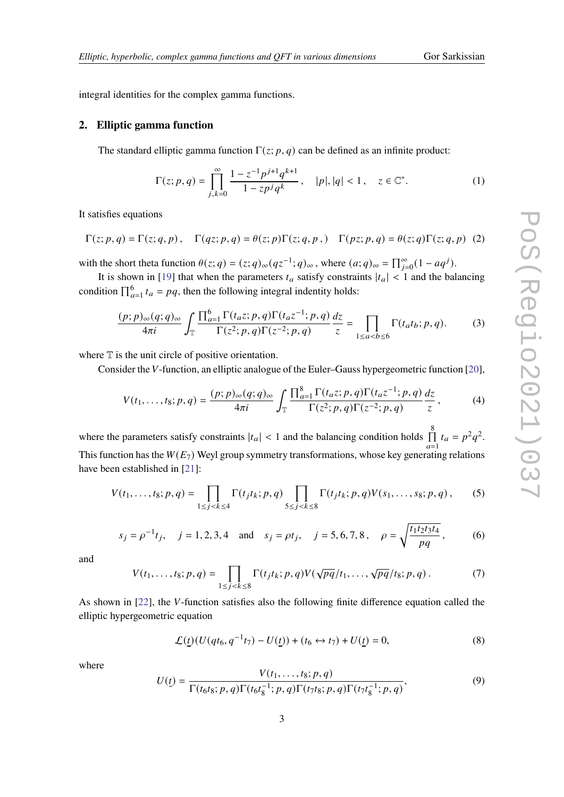integral identities for the complex gamma functions.

### **2. Elliptic gamma function**

The standard elliptic gamma function  $\Gamma(z; p, q)$  can be defined as an infinite product:

$$
\Gamma(z;p,q) = \prod_{j,k=0}^{\infty} \frac{1 - z^{-1} p^{j+1} q^{k+1}}{1 - z p^j q^k}, \quad |p|, |q| < 1, \quad z \in \mathbb{C}^*.
$$
\n<sup>(1)</sup>

It satisfies equations

$$
\Gamma(z;p,q)=\Gamma(z;q,p)\,,\quad \Gamma(qz;p,q)=\theta(z;p)\Gamma(z;q,p\,,)\quad \Gamma(pz;p,q)=\theta(z;q)\Gamma(z;q,p)\eqno(2)
$$

with the short theta function  $\theta(z; q) = (z; q)_{\infty} (qz^{-1}; q)_{\infty}$ , where  $(a; q)_{\infty} = \prod_{j=0}^{\infty} (1 - aq^{j}).$ 

It is shown in [\[19\]](#page-9-4) that when the parameters  $t_a$  satisfy constraints  $|t_a| < 1$  and the balancing condition  $\prod_{a=1}^{6} t_a = pq$ , then the following integral indentity holds:

<span id="page-2-0"></span>
$$
\frac{(p;p)_{\infty}(q;q)_{\infty}}{4\pi i} \int_{\mathbb{T}} \frac{\prod_{a=1}^{6} \Gamma(t_{a}z;p,q) \Gamma(t_{a}z^{-1};p,q)}{\Gamma(z^{2};p,q) \Gamma(z^{-2};p,q)} \frac{dz}{z} = \prod_{1 \le a < b \le 6} \Gamma(t_{a}t_{b};p,q). \tag{3}
$$

where  $T$  is the unit circle of positive orientation.

Consider the V-function, an elliptic analogue of the Euler–Gauss hypergeometric function [\[20\]](#page-9-0),

$$
V(t_1, ..., t_8; p, q) = \frac{(p; p)_{\infty}(q; q)_{\infty}}{4\pi i} \int_{\mathbb{T}} \frac{\prod_{a=1}^{8} \Gamma(t_a z; p, q) \Gamma(t_a z^{-1}; p, q)}{\Gamma(z^2; p, q) \Gamma(z^{-2}; p, q)} \frac{dz}{z}, \tag{4}
$$

where the parameters satisfy constraints  $|t_a| < 1$  and the balancing condition holds  $\prod_{n=1}^8$  $\widehat{a=1}$  $t_a = p^2 q^2$ . This function has the  $W(E_7)$  Weyl group symmetry transformations, whose key generating relations have been established in [\[21\]](#page-9-5):

<span id="page-2-1"></span>
$$
V(t_1, ..., t_8; p, q) = \prod_{1 \le j < k \le 4} \Gamma(t_j t_k; p, q) \prod_{5 \le j < k \le 8} \Gamma(t_j t_k; p, q) V(s_1, ..., s_8; p, q), \tag{5}
$$

$$
s_j = \rho^{-1} t_j
$$
,  $j = 1, 2, 3, 4$  and  $s_j = \rho t_j$ ,  $j = 5, 6, 7, 8$ ,  $\rho = \sqrt{\frac{t_1 t_2 t_3 t_4}{pq}}$ , (6)

and

<span id="page-2-2"></span>
$$
V(t_1,\ldots,t_8;p,q)=\prod_{1\leq j (7)
$$

As shown in  $[22]$ , the V-function satisfies also the following finite difference equation called the elliptic hypergeometric equation

<span id="page-2-3"></span>
$$
\mathcal{L}(\underline{t})(U(qt_6, q^{-1}t_7) - U(\underline{t})) + (t_6 \leftrightarrow t_7) + U(\underline{t}) = 0,
$$
\n(8)

where

$$
U(\underline{t}) = \frac{V(t_1, \dots, t_8; p, q)}{\Gamma(t_6 t_8; p, q) \Gamma(t_6 t_8^{-1}; p, q) \Gamma(t_7 t_8; p, q) \Gamma(t_7 t_8^{-1}; p, q)},
$$
\n(9)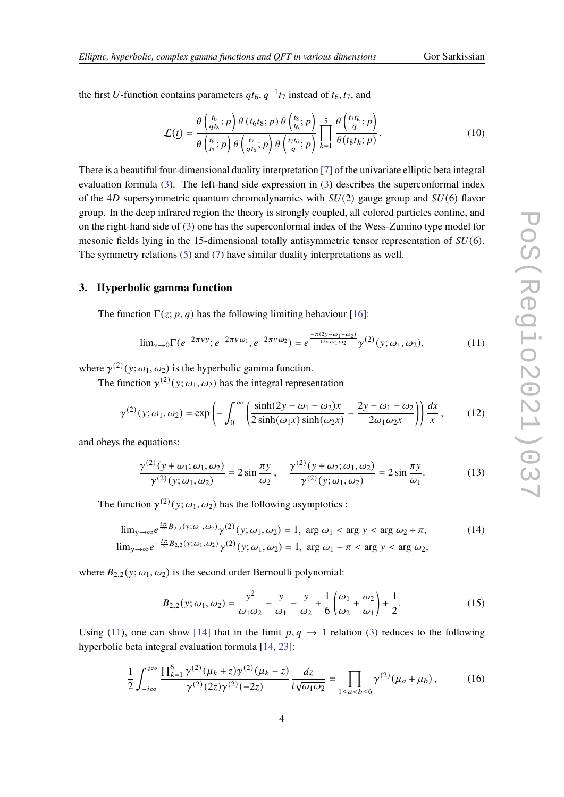the first U-function contains parameters  $qt_6$ ,  $q^{-1}t_7$  instead of  $t_6$ ,  $t_7$ , and

$$
\mathcal{L}(\underline{t}) = \frac{\theta\left(\frac{t_6}{qt_8};p\right)\theta\left(t_6t_8;p\right)\theta\left(\frac{t_8}{t_6};p\right)}{\theta\left(\frac{t_6}{t_7};p\right)\theta\left(\frac{t_7}{qt_6};p\right)\theta\left(\frac{t_7t_6}{q};p\right)} \prod_{k=1}^5 \frac{\theta\left(\frac{t_7t_k}{q};p\right)}{\theta(t_8t_k;p)}.
$$
\n(10)

There is a beautiful four-dimensional duality interpretation [\[7\]](#page-8-0) of the univariate elliptic beta integral evaluation formula [\(3\)](#page-2-0). The left-hand side expression in [\(3\)](#page-2-0) describes the superconformal index of the 4D supersymmetric quantum chromodynamics with  $SU(2)$  gauge group and  $SU(6)$  flavor group. In the deep infrared region the theory is strongly coupled, all colored particles confine, and on the right-hand side of [\(3\)](#page-2-0) one has the superconformal index of the Wess-Zumino type model for mesonic fields lying in the 15-dimensional totally antisymmetric tensor representation of  $SU(6)$ . The symmetry relations [\(5\)](#page-2-1) and [\(7\)](#page-2-2) have similar duality interpretations as well.

#### **3. Hyperbolic gamma function**

The function  $\Gamma(z; p, q)$  has the following limiting behaviour [\[16\]](#page-9-2):

<span id="page-3-0"></span>
$$
\lim_{\nu \to 0} \Gamma(e^{-2\pi\nu y}; e^{-2\pi\nu \omega_1}, e^{-2\pi\nu \omega_2}) = e^{-\frac{\pi(2y - \omega_1 - \omega_2)}{12\nu \omega_1 \omega_2}} \gamma^{(2)}(y; \omega_1, \omega_2), \tag{11}
$$

where  $\gamma^{(2)}(y; \omega_1, \omega_2)$  is the hyperbolic gamma function.

The function  $\gamma^{(2)}(y; \omega_1, \omega_2)$  has the integral representation

$$
\gamma^{(2)}(y;\omega_1,\omega_2) = \exp\left(-\int_0^\infty \left(\frac{\sinh(2y-\omega_1-\omega_2)x}{2\sinh(\omega_1x)\sinh(\omega_2x)} - \frac{2y-\omega_1-\omega_2}{2\omega_1\omega_2x}\right)\right)\frac{dx}{x},\qquad(12)
$$

and obeys the equations:

$$
\frac{\gamma^{(2)}(y+\omega_1;\omega_1,\omega_2)}{\gamma^{(2)}(y;\omega_1,\omega_2)} = 2\sin\frac{\pi y}{\omega_2}, \quad \frac{\gamma^{(2)}(y+\omega_2;\omega_1,\omega_2)}{\gamma^{(2)}(y;\omega_1,\omega_2)} = 2\sin\frac{\pi y}{\omega_1}.
$$
 (13)

The function  $\gamma^{(2)}(y;\omega_1,\omega_2)$  has the following asymptotics :

<span id="page-3-1"></span>
$$
\lim_{y \to \infty} e^{\frac{i\pi}{2}B_{2,2}(y;\omega_1,\omega_2)} \gamma^{(2)}(y;\omega_1,\omega_2) = 1, \text{ arg } \omega_1 < \text{ arg } y < \text{ arg } \omega_2 + \pi,
$$
\n(14)  
\n
$$
\lim_{y \to \infty} e^{-\frac{i\pi}{2}B_{2,2}(y;\omega_1,\omega_2)} \gamma^{(2)}(y;\omega_1,\omega_2) = 1, \text{ arg } \omega_1 - \pi < \text{ arg } y < \text{ arg } \omega_2,
$$

where  $B_{2,2}(y; \omega_1, \omega_2)$  is the second order Bernoulli polynomial:

$$
B_{2,2}(y; \omega_1, \omega_2) = \frac{y^2}{\omega_1 \omega_2} - \frac{y}{\omega_1} - \frac{y}{\omega_2} + \frac{1}{6} \left( \frac{\omega_1}{\omega_2} + \frac{\omega_2}{\omega_1} \right) + \frac{1}{2}.
$$
 (15)

Using [\(11\)](#page-3-0), one can show [\[14\]](#page-9-6) that in the limit  $p, q \rightarrow 1$  relation [\(3\)](#page-2-0) reduces to the following hyperbolic beta integral evaluation formula [\[14,](#page-9-6) [23\]](#page-9-7):

<span id="page-3-2"></span>
$$
\frac{1}{2} \int_{-i\infty}^{i\infty} \frac{\prod_{k=1}^{6} \gamma^{(2)}(\mu_k + z) \gamma^{(2)}(\mu_k - z)}{\gamma^{(2)}(2z) \gamma^{(2)}(-2z)} \frac{dz}{i\sqrt{\omega_1 \omega_2}} = \prod_{1 \le a < b \le 6} \gamma^{(2)}(\mu_a + \mu_b),\tag{16}
$$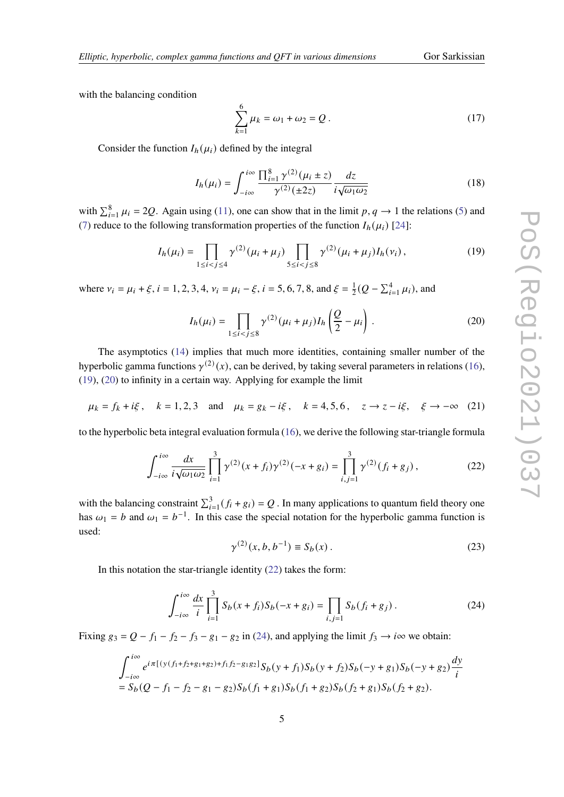with the balancing condition

<span id="page-4-5"></span>
$$
\sum_{k=1}^{6} \mu_k = \omega_1 + \omega_2 = Q.
$$
 (17)

Consider the function  $I_h(\mu_i)$  defined by the integral

$$
I_h(\mu_i) = \int_{-i\infty}^{i\infty} \frac{\prod_{i=1}^8 \gamma^{(2)}(\mu_i \pm z)}{\gamma^{(2)}(\pm 2z)} \frac{dz}{i\sqrt{\omega_1 \omega_2}}
$$
(18)

with  $\sum_{i=1}^{8} \mu_i = 2Q$ . Again using [\(11\)](#page-3-0), one can show that in the limit  $p, q \to 1$  the relations [\(5\)](#page-2-1) and [\(7\)](#page-2-2) reduce to the following transformation properties of the function  $I_h(\mu_i)$  [\[24\]](#page-9-8):

<span id="page-4-0"></span>
$$
I_h(\mu_i) = \prod_{1 \le i < j \le 4} \gamma^{(2)}(\mu_i + \mu_j) \prod_{5 \le i < j \le 8} \gamma^{(2)}(\mu_i + \mu_j) I_h(\nu_i),\tag{19}
$$

where  $v_i = \mu_i + \xi$ ,  $i = 1, 2, 3, 4$ ,  $v_i = \mu_i - \xi$ ,  $i = 5, 6, 7, 8$ , and  $\xi = \frac{1}{2}$  $\frac{1}{2}(Q - \sum_{i=1}^{4} \mu_i)$ , and

<span id="page-4-1"></span>
$$
I_h(\mu_i) = \prod_{1 \le i < j \le 8} \gamma^{(2)} (\mu_i + \mu_j) I_h\left(\frac{Q}{2} - \mu_i\right). \tag{20}
$$

The asymptotics [\(14\)](#page-3-1) implies that much more identities, containing smaller number of the hyperbolic gamma functions  $\gamma^{(2)}(x)$ , can be derived, by taking several parameters in relations [\(16\)](#page-3-2), [\(19\)](#page-4-0), [\(20\)](#page-4-1) to infinity in a certain way. Applying for example the limit

$$
\mu_k = f_k + i\xi
$$
,  $k = 1, 2, 3$  and  $\mu_k = g_k - i\xi$ ,  $k = 4, 5, 6$ ,  $z \to z - i\xi$ ,  $\xi \to -\infty$  (21)

to the hyperbolic beta integral evaluation formula [\(16\)](#page-3-2), we derive the following star-triangle formula

<span id="page-4-2"></span>
$$
\int_{-i\infty}^{i\infty} \frac{dx}{i\sqrt{\omega_1\omega_2}} \prod_{i=1}^3 \gamma^{(2)}(x+f_i)\gamma^{(2)}(-x+g_i) = \prod_{i,j=1}^3 \gamma^{(2)}(f_i+g_j),\tag{22}
$$

with the balancing constraint  $\sum_{i=1}^{3} (f_i + g_i) = Q$ . In many applications to quantum field theory one has  $\omega_1 = b$  and  $\omega_1 = b^{-1}$ . In this case the special notation for the hyperbolic gamma function is used:

$$
\gamma^{(2)}(x, b, b^{-1}) \equiv S_b(x) \,. \tag{23}
$$

In this notation the star-triangle identity [\(22\)](#page-4-2) takes the form:

<span id="page-4-3"></span>
$$
\int_{-i\infty}^{i\infty} \frac{dx}{i} \prod_{i=1}^{3} S_b(x + f_i) S_b(-x + g_i) = \prod_{i,j=1}^{3} S_b(f_i + g_j).
$$
 (24)

Fixing  $g_3 = Q - f_1 - f_2 - f_3 - g_1 - g_2$  in [\(24\)](#page-4-3), and applying the limit  $f_3 \rightarrow i\infty$  we obtain:

<span id="page-4-4"></span>
$$
\int_{-i\infty}^{i\infty} e^{i\pi \left[ (y(f_1+f_2+g_1+g_2)+f_1f_2-g_1g_2\right]} S_b(y+f_1)S_b(y+f_2)S_b(-y+g_1)S_b(-y+g_2)\frac{dy}{i}
$$
  
=  $S_b(Q-f_1-f_2-g_1-g_2)S_b(f_1+g_1)S_b(f_1+g_2)S_b(f_2+g_1)S_b(f_2+g_2).$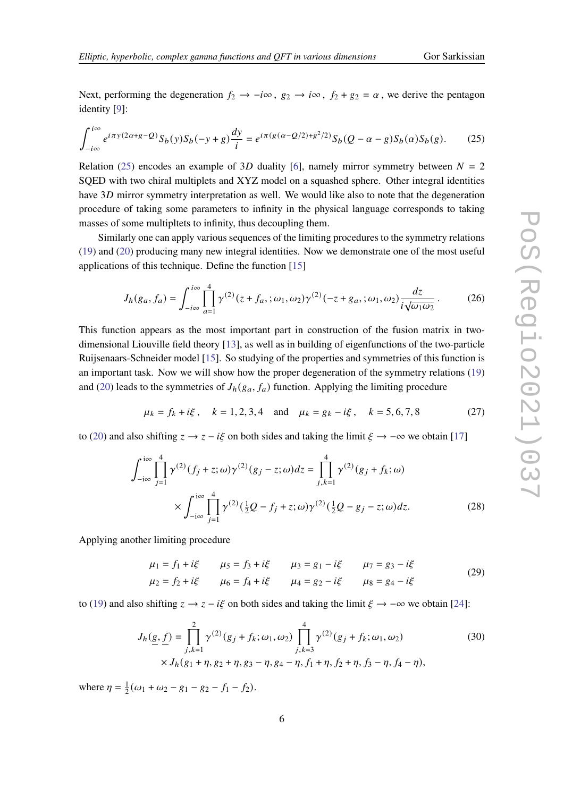Next, performing the degeneration  $f_2 \to -i\infty$ ,  $g_2 \to i\infty$ ,  $f_2 + g_2 = \alpha$ , we derive the pentagon identity [\[9\]](#page-8-4):

$$
\int_{-i\infty}^{i\infty} e^{i\pi y (2\alpha + g - Q)} S_b(y) S_b(-y + g) \frac{dy}{i} = e^{i\pi (g(\alpha - Q/2) + g^2/2)} S_b(Q - \alpha - g) S_b(\alpha) S_b(g). \tag{25}
$$

Relation [\(25\)](#page-4-4) encodes an example of 3D duality [\[6\]](#page-8-5), namely mirror symmetry between  $N = 2$ SQED with two chiral multiplets and XYZ model on a squashed sphere. Other integral identities have  $3D$  mirror symmetry interpretation as well. We would like also to note that the degeneration procedure of taking some parameters to infinity in the physical language corresponds to taking masses of some multipltets to infinity, thus decoupling them.

Similarly one can apply various sequences of the limiting procedures to the symmetry relations [\(19\)](#page-4-0) and [\(20\)](#page-4-1) producing many new integral identities. Now we demonstrate one of the most useful applications of this technique. Define the function [\[15\]](#page-9-10)

$$
J_h(g_a, f_a) = \int_{-i\infty}^{i\infty} \prod_{a=1}^4 \gamma^{(2)}(z + f_a, ; \omega_1, \omega_2) \gamma^{(2)}(-z + g_a, ; \omega_1, \omega_2) \frac{dz}{i\sqrt{\omega_1 \omega_2}}.
$$
 (26)

This function appears as the most important part in construction of the fusion matrix in twodimensional Liouville field theory [\[13\]](#page-9-11), as well as in building of eigenfunctions of the two-particle Ruijsenaars-Schneider model [\[15\]](#page-9-10). So studying of the properties and symmetries of this function is an important task. Now we will show how the proper degeneration of the symmetry relations [\(19\)](#page-4-0) and [\(20\)](#page-4-1) leads to the symmetries of  $J_h(g_a, f_a)$  function. Applying the limiting procedure

$$
\mu_k = f_k + i\xi
$$
,  $k = 1, 2, 3, 4$  and  $\mu_k = g_k - i\xi$ ,  $k = 5, 6, 7, 8$  (27)

to [\(20\)](#page-4-1) and also shifting  $z \rightarrow z - i\xi$  on both sides and taking the limit  $\xi \rightarrow -\infty$  we obtain [\[17\]](#page-9-3)

<span id="page-5-0"></span>
$$
\int_{-i\infty}^{i\infty} \prod_{j=1}^{4} \gamma^{(2)}(f_j + z; \omega) \gamma^{(2)}(g_j - z; \omega) dz = \prod_{j,k=1}^{4} \gamma^{(2)}(g_j + f_k; \omega)
$$
  
 
$$
\times \int_{-i\infty}^{i\infty} \prod_{j=1}^{4} \gamma^{(2)}(\frac{1}{2}Q - f_j + z; \omega) \gamma^{(2)}(\frac{1}{2}Q - g_j - z; \omega) dz.
$$
 (28)

Applying another limiting procedure

$$
\mu_1 = f_1 + i\xi \qquad \mu_5 = f_3 + i\xi \qquad \mu_3 = g_1 - i\xi \qquad \mu_7 = g_3 - i\xi
$$
  
\n
$$
\mu_2 = f_2 + i\xi \qquad \mu_6 = f_4 + i\xi \qquad \mu_4 = g_2 - i\xi \qquad \mu_8 = g_4 - i\xi
$$
 (29)

to [\(19\)](#page-4-0) and also shifting  $z \rightarrow z - i\xi$  on both sides and taking the limit  $\xi \rightarrow -\infty$  we obtain [\[24\]](#page-9-8):

<span id="page-5-1"></span>
$$
J_h(\underline{g}, \underline{f}) = \prod_{j,k=1}^{2} \gamma^{(2)}(g_j + f_k; \omega_1, \omega_2) \prod_{j,k=3}^{4} \gamma^{(2)}(g_j + f_k; \omega_1, \omega_2)
$$
(30)  
×  $J_h(g_1 + \eta, g_2 + \eta, g_3 - \eta, g_4 - \eta, f_1 + \eta, f_2 + \eta, f_3 - \eta, f_4 - \eta)$ ,

where  $\eta = \frac{1}{2}$  $\frac{1}{2}(\omega_1 + \omega_2 - g_1 - g_2 - f_1 - f_2).$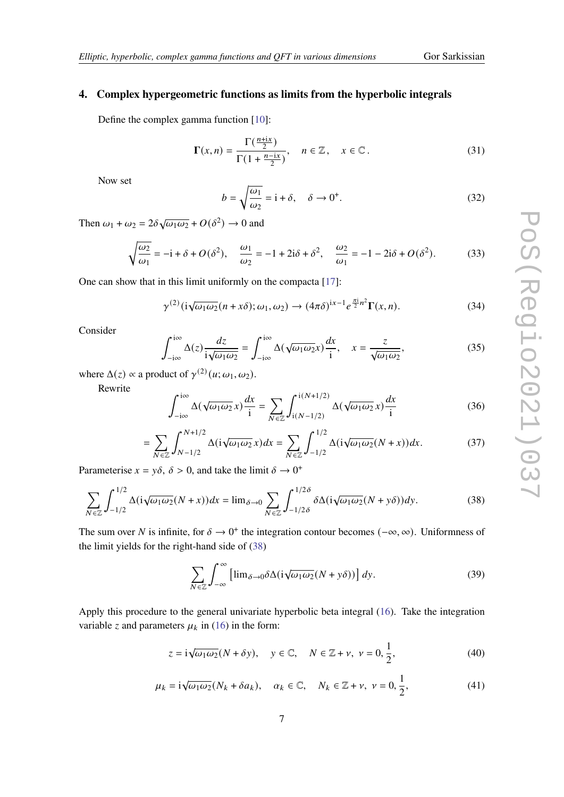## **4. Complex hypergeometric functions as limits from the hyperbolic integrals**

Define the complex gamma function [\[10\]](#page-8-6):

$$
\Gamma(x,n) = \frac{\Gamma(\frac{n+ix}{2})}{\Gamma(1 + \frac{n-ix}{2})}, \quad n \in \mathbb{Z}, \quad x \in \mathbb{C}.
$$
 (31)

Now set

$$
b = \sqrt{\frac{\omega_1}{\omega_2}} = i + \delta, \quad \delta \to 0^+.
$$
 (32)

Then  $\omega_1 + \omega_2 = 2\delta \sqrt{\omega_1 \omega_2} + O(\delta^2) \rightarrow 0$  and

$$
\sqrt{\frac{\omega_2}{\omega_1}} = -\mathbf{i} + \delta + O(\delta^2), \quad \frac{\omega_1}{\omega_2} = -1 + 2\mathbf{i}\delta + \delta^2, \quad \frac{\omega_2}{\omega_1} = -1 - 2\mathbf{i}\delta + O(\delta^2). \tag{33}
$$

One can show that in this limit uniformly on the compacta [\[17\]](#page-9-3):

<span id="page-6-1"></span>
$$
\gamma^{(2)}(i\sqrt{\omega_1\omega_2}(n+x\delta);\omega_1,\omega_2) \to (4\pi\delta)^{ix-1}e^{\frac{\pi i}{2}n^2}\Gamma(x,n). \tag{34}
$$

Consider

$$
\int_{-i\infty}^{i\infty} \Delta(z) \frac{dz}{i\sqrt{\omega_1 \omega_2}} = \int_{-i\infty}^{i\infty} \Delta(\sqrt{\omega_1 \omega_2} x) \frac{dx}{i}, \quad x = \frac{z}{\sqrt{\omega_1 \omega_2}},
$$
(35)

where  $\Delta(z) \propto$  a product of  $\gamma^{(2)}(u; \omega_1, \omega_2)$ .

Rewrite

$$
\int_{-i\infty}^{i\infty} \Delta(\sqrt{\omega_1 \omega_2} x) \frac{dx}{i} = \sum_{N \in \mathbb{Z}} \int_{i(N-1/2)}^{i(N+1/2)} \Delta(\sqrt{\omega_1 \omega_2} x) \frac{dx}{i}
$$
(36)

<span id="page-6-0"></span>
$$
=\sum_{N\in\mathbb{Z}}\int_{N-1/2}^{N+1/2}\Delta(i\sqrt{\omega_1\omega_2}x)dx=\sum_{N\in\mathbb{Z}}\int_{-1/2}^{1/2}\Delta(i\sqrt{\omega_1\omega_2}(N+x))dx.\tag{37}
$$

Parameterise  $x = y\delta$ ,  $\delta > 0$ , and take the limit  $\delta \rightarrow 0^+$ 

$$
\sum_{N\in\mathbb{Z}}\int_{-1/2}^{1/2}\Delta(i\sqrt{\omega_1\omega_2}(N+x))dx = \lim_{\delta\to 0}\sum_{N\in\mathbb{Z}}\int_{-1/2\delta}^{1/2\delta}\delta\Delta(i\sqrt{\omega_1\omega_2}(N+y\delta))dy.
$$
 (38)

The sum over N is infinite, for  $\delta \to 0^+$  the integration contour becomes  $(-\infty, \infty)$ . Uniformness of the limit yields for the right-hand side of [\(38\)](#page-6-0)

<span id="page-6-2"></span>
$$
\sum_{N \in \mathbb{Z}} \int_{-\infty}^{\infty} \left[ \lim_{\delta \to 0} \delta \Delta(i \sqrt{\omega_1 \omega_2} (N + y \delta)) \right] dy.
$$
 (39)

Apply this procedure to the general univariate hyperbolic beta integral [\(16\)](#page-3-2). Take the integration variable z and parameters  $\mu_k$  in [\(16\)](#page-3-2) in the form:

$$
z = i\sqrt{\omega_1 \omega_2}(N + \delta y), \quad y \in \mathbb{C}, \quad N \in \mathbb{Z} + \nu, \quad \nu = 0, \frac{1}{2}, \tag{40}
$$

$$
\mu_k = i\sqrt{\omega_1 \omega_2} (N_k + \delta a_k), \quad \alpha_k \in \mathbb{C}, \quad N_k \in \mathbb{Z} + \nu, \ \nu = 0, \frac{1}{2}, \tag{41}
$$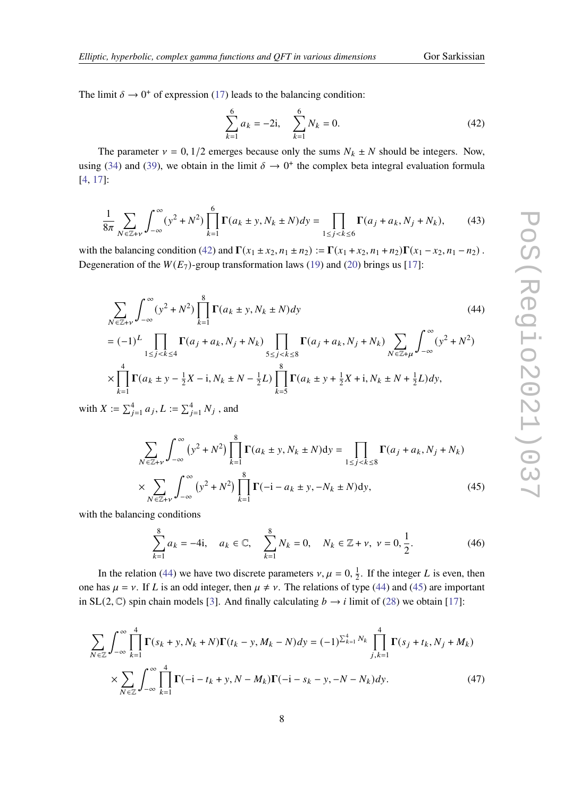The limit  $\delta \to 0^+$  of expression [\(17\)](#page-4-5) leads to the balancing condition:

<span id="page-7-0"></span>
$$
\sum_{k=1}^{6} a_k = -2i, \quad \sum_{k=1}^{6} N_k = 0.
$$
\n(42)

The parameter  $v = 0$ , 1/2 emerges because only the sums  $N_k \pm N$  should be integers. Now, using [\(34\)](#page-6-1) and [\(39\)](#page-6-2), we obtain in the limit  $\delta \rightarrow 0^+$  the complex beta integral evaluation formula [\[4,](#page-8-7) [17\]](#page-9-3):

$$
\frac{1}{8\pi} \sum_{N \in \mathbb{Z} + v} \int_{-\infty}^{\infty} (y^2 + N^2) \prod_{k=1}^{6} \Gamma(a_k \pm y, N_k \pm N) dy = \prod_{1 \le j < k \le 6} \Gamma(a_j + a_k, N_j + N_k),\tag{43}
$$

with the balancing condition [\(42\)](#page-7-0) and  $\Gamma(x_1 \pm x_2, n_1 \pm n_2) := \Gamma(x_1 + x_2, n_1 + n_2)\Gamma(x_1 - x_2, n_1 - n_2)$ . Degeneration of the  $W(E_7)$ -group transformation laws [\(19\)](#page-4-0) and [\(20\)](#page-4-1) brings us [\[17\]](#page-9-3):

<span id="page-7-1"></span>
$$
\sum_{N \in \mathbb{Z}+\nu} \int_{-\infty}^{\infty} (y^2 + N^2) \prod_{k=1}^{8} \Gamma(a_k \pm y, N_k \pm N) dy
$$
\n
$$
= (-1)^L \prod_{1 \le j < k \le 4} \Gamma(a_j + a_k, N_j + N_k) \prod_{5 \le j < k \le 8} \Gamma(a_j + a_k, N_j + N_k) \sum_{N \in \mathbb{Z}+\mu} \int_{-\infty}^{\infty} (y^2 + N^2)
$$
\n(44)

$$
1 \leq \tilde{j} < \tilde{k} \leq 4
$$
\n
$$
\times \prod_{k=1}^{4} \Gamma(a_k \pm y - \frac{1}{2}X - i, N_k \pm N - \frac{1}{2}L) \prod_{k=5}^{8} \Gamma(a_k \pm y + \frac{1}{2}X + i, N_k \pm N + \frac{1}{2}L) dy,
$$

with  $X:=\sum_{j=1}^4 a_j, L:=\sum_{j=1}^4 N_j$  , and

<span id="page-7-2"></span>
$$
\sum_{N \in \mathbb{Z}+\nu} \int_{-\infty}^{\infty} (y^2 + N^2) \prod_{k=1}^{8} \Gamma(a_k \pm y, N_k \pm N) dy = \prod_{1 \le j < k \le 8} \Gamma(a_j + a_k, N_j + N_k)
$$
  
 
$$
\times \sum_{N \in \mathbb{Z}+\nu} \int_{-\infty}^{\infty} (y^2 + N^2) \prod_{k=1}^{8} \Gamma(-i - a_k \pm y, -N_k \pm N) dy,
$$
 (45)

with the balancing conditions

$$
\sum_{k=1}^{8} a_k = -4i, \quad a_k \in \mathbb{C}, \quad \sum_{k=1}^{8} N_k = 0, \quad N_k \in \mathbb{Z} + \nu, \ \nu = 0, \frac{1}{2}.
$$
 (46)

In the relation [\(44\)](#page-7-1) we have two discrete parameters  $v, \mu = 0, \frac{1}{2}$  $\frac{1}{2}$ . If the integer L is even, then one has  $\mu = \nu$ . If L is an odd integer, then  $\mu \neq \nu$ . The relations of type [\(44\)](#page-7-1) and [\(45\)](#page-7-2) are important in SL(2, C) spin chain models [\[3\]](#page-8-2). And finally calculating  $b \rightarrow i$  limit of [\(28\)](#page-5-0) we obtain [\[17\]](#page-9-3):

<span id="page-7-3"></span>
$$
\sum_{N \in \mathbb{Z}} \int_{-\infty}^{\infty} \prod_{k=1}^{4} \Gamma(s_k + y, N_k + N) \Gamma(t_k - y, M_k - N) dy = (-1)^{\sum_{k=1}^{4} N_k} \prod_{j,k=1}^{4} \Gamma(s_j + t_k, N_j + M_k)
$$
  
 
$$
\times \sum_{N \in \mathbb{Z}} \int_{-\infty}^{\infty} \prod_{k=1}^{4} \Gamma(-i - t_k + y, N - M_k) \Gamma(-i - s_k - y, -N - N_k) dy.
$$
 (47)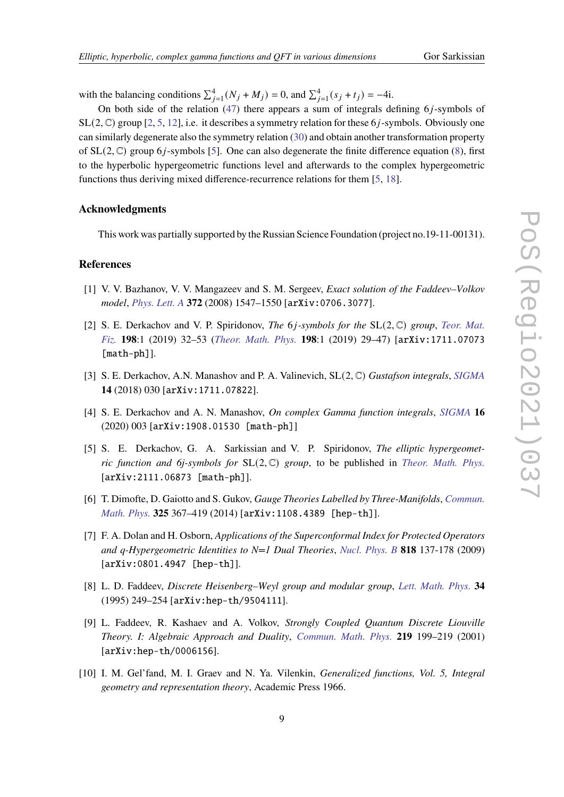with the balancing conditions  $\sum_{j=1}^{4} (N_j + M_j) = 0$ , and  $\sum_{j=1}^{4} (s_j + t_j) = -4i$ .

On both side of the relation  $(47)$  there appears a sum of integrals defining  $6j$ -symbols of  $SL(2, \mathbb{C})$  group [\[2,](#page-8-8) [5,](#page-8-9) [12\]](#page-9-12), i.e. it describes a symmetry relation for these 6*j*-symbols. Obviously one can similarly degenerate also the symmetry relation [\(30\)](#page-5-1) and obtain another transformation property of  $SL(2, \mathbb{C})$  group 6*j*-symbols [\[5\]](#page-8-9). One can also degenerate the finite difference equation [\(8\)](#page-2-3), first to the hyperbolic hypergeometric functions level and afterwards to the complex hypergeometric functions thus deriving mixed difference-recurrence relations for them [\[5,](#page-8-9) [18\]](#page-9-13).

#### **Acknowledgments**

This work was partially supported by the Russian Science Foundation (project no.19-11-00131).

# **References**

- <span id="page-8-3"></span>[1] V. V. Bazhanov, V. V. Mangazeev and S. M. Sergeev, *Exact solution of the Faddeev–Volkov model*, *[Phys. Lett. A](https://doi.org/10.1016/j.physleta.2007.10.053)* **372** (2008) 1547–1550 [arXiv:0706.3077].
- <span id="page-8-8"></span>[2] S. E. Derkachov and V. P. Spiridonov, *The* 6*j*-symbols for the SL(2, C) group, *[Teor. Mat.](https://doi.org/10.4213/tmf9512) [Fiz.](https://doi.org/10.4213/tmf9512)* **198**:1 (2019) 32–53 (*[Theor. Math. Phys.](https://doi.org/10.1134/S0040577919010033)* **198**:1 (2019) 29–47) [arXiv:1711.07073 [math-ph]].
- <span id="page-8-2"></span>[3] S. E. Derkachov, A.N. Manashov and P. A. Valinevich, SL(2, C) *Gustafson integrals*, *[SIGMA](https://doi.org/10.3842/SIGMA.2018.030)* **14** (2018) 030 [arXiv:1711.07822].
- <span id="page-8-7"></span>[4] S. E. Derkachov and A. N. Manashov, *On complex Gamma function integrals*, *[SIGMA](https://doi.org/10.3842/SIGMA.2020.003)* **16** (2020) 003 [arXiv:1908.01530 [math-ph]]
- <span id="page-8-9"></span>[5] S. E. Derkachov, G. A. Sarkissian and V. P. Spiridonov, *The elliptic hypergeometric function and 6j-symbols for* SL(2, C) *group*, to be published in *[Theor. Math. Phys.](http://mi.mathnet.ru/tmf10201)* [arXiv:2111.06873 [math-ph]].
- <span id="page-8-5"></span>[6] T. Dimofte, D. Gaiotto and S. Gukov, *Gauge Theories Labelled by Three-Manifolds*, *[Commun.](https://doi.org/10.1007/s00220-013-1863-2) [Math. Phys.](https://doi.org/10.1007/s00220-013-1863-2)* **325** 367–419 (2014) [arXiv:1108.4389 [hep-th]].
- <span id="page-8-0"></span>[7] F. A. Dolan and H. Osborn, *Applications of the Superconformal Index for Protected Operators and q-Hypergeometric Identities to N=1 Dual Theories*, *[Nucl. Phys. B](https://doi.org/10.1016/j.nuclphysb.2009.01.028)* **818** 137-178 (2009) [arXiv:0801.4947 [hep-th]].
- <span id="page-8-1"></span>[8] L. D. Faddeev, *Discrete Heisenberg–Weyl group and modular group*, *[Lett. Math. Phys.](https://doi.org/10.1007/BF01872779)* **34** (1995) 249–254 [arXiv:hep-th/9504111].
- <span id="page-8-4"></span>[9] L. Faddeev, R. Kashaev and A. Volkov, *Strongly Coupled Quantum Discrete Liouville Theory. I: Algebraic Approach and Duality*, *[Commun. Math. Phys.](https://doi.org/10.1007/s002200100412)* **219** 199–219 (2001) [arXiv:hep-th/0006156].
- <span id="page-8-6"></span>[10] I. M. Gel'fand, M. I. Graev and N. Ya. Vilenkin, *Generalized functions, Vol. 5, Integral geometry and representation theory*, Academic Press 1966.